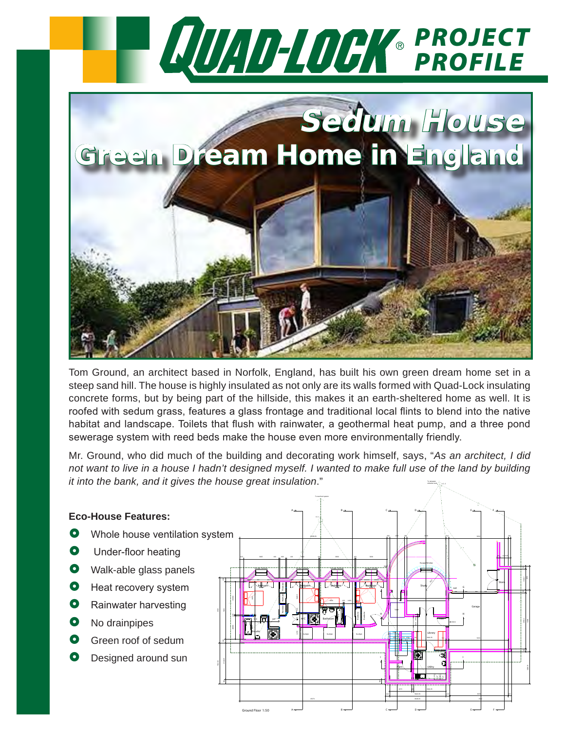

Tom Ground, an architect based in Norfolk, England, has built his own green dream home set in a steep sand hill. The house is highly insulated as not only are its walls formed with Quad-Lock insulating concrete forms, but by being part of the hillside, this makes it an earth-sheltered home as well. It is roofed with sedum grass, features a glass frontage and traditional local flints to blend into the native habitat and landscape. Toilets that flush with rainwater, a geothermal heat pump, and a three pond sewerage system with reed beds make the house even more environmentally friendly.

Mr. Ground, who did much of the building and decorating work himself, says, "*As an architect, I did not want to live in a house I hadn't designed myself. I wanted to make full use of the land by building it into the bank, and it gives the house great insulation*." I.C. 2 collection tank